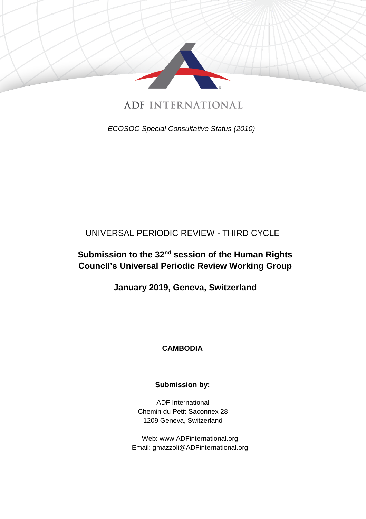

**ADF INTERNATIONAL** 

*ECOSOC Special Consultative Status (2010)*

# UNIVERSAL PERIODIC REVIEW - THIRD CYCLE

# **Submission to the 32nd session of the Human Rights Council's Universal Periodic Review Working Group**

**January 2019, Geneva, Switzerland**

# **CAMBODIA**

# **Submission by:**

ADF International Chemin du Petit-Saconnex 28 1209 Geneva, Switzerland

Web: www.ADFinternational.org Email: gmazzoli@ADFinternational.org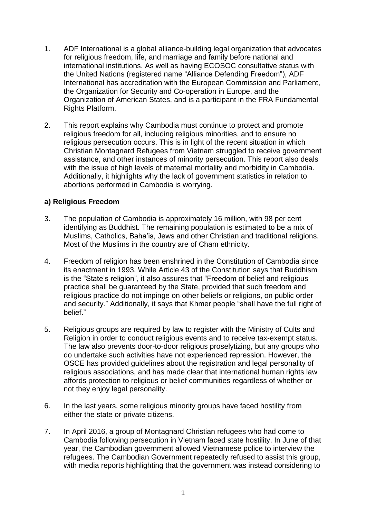- 1. ADF International is a global alliance-building legal organization that advocates for religious freedom, life, and marriage and family before national and international institutions. As well as having ECOSOC consultative status with the United Nations (registered name "Alliance Defending Freedom"), ADF International has accreditation with the European Commission and Parliament, the Organization for Security and Co-operation in Europe, and the Organization of American States, and is a participant in the FRA Fundamental Rights Platform.
- 2. This report explains why Cambodia must continue to protect and promote religious freedom for all, including religious minorities, and to ensure no religious persecution occurs. This is in light of the recent situation in which Christian Montagnard Refugees from Vietnam struggled to receive government assistance, and other instances of minority persecution. This report also deals with the issue of high levels of maternal mortality and morbidity in Cambodia. Additionally, it highlights why the lack of government statistics in relation to abortions performed in Cambodia is worrying.

#### **a) Religious Freedom**

- 3. The population of Cambodia is approximately 16 million, with 98 per cent identifying as Buddhist. The remaining population is estimated to be a mix of Muslims, Catholics, Baha'is, Jews and other Christian and traditional religions. Most of the Muslims in the country are of Cham ethnicity.
- 4. Freedom of religion has been enshrined in the Constitution of Cambodia since its enactment in 1993. While Article 43 of the Constitution says that Buddhism is the "State's religion", it also assures that "Freedom of belief and religious practice shall be guaranteed by the State, provided that such freedom and religious practice do not impinge on other beliefs or religions, on public order and security." Additionally, it says that Khmer people "shall have the full right of belief."
- 5. Religious groups are required by law to register with the Ministry of Cults and Religion in order to conduct religious events and to receive tax-exempt status. The law also prevents door-to-door religious proselytizing, but any groups who do undertake such activities have not experienced repression. However, the OSCE has provided guidelines about the registration and legal personality of religious associations, and has made clear that international human rights law affords protection to religious or belief communities regardless of whether or not they enjoy legal personality.
- 6. In the last years, some religious minority groups have faced hostility from either the state or private citizens.
- 7. In April 2016, a group of Montagnard Christian refugees who had come to Cambodia following persecution in Vietnam faced state hostility. In June of that year, the Cambodian government allowed Vietnamese police to interview the refugees. The Cambodian Government repeatedly refused to assist this group, with media reports highlighting that the government was instead considering to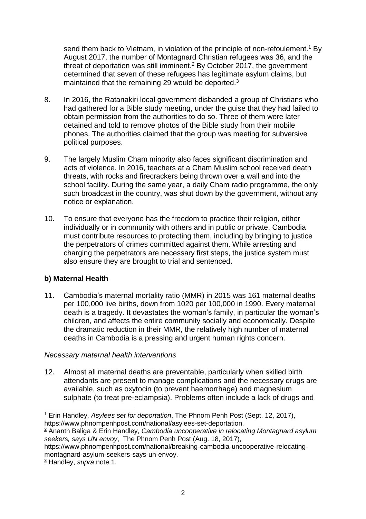send them back to Vietnam, in violation of the principle of non-refoulement. <sup>1</sup> By August 2017, the number of Montagnard Christian refugees was 36, and the threat of deportation was still imminent.<sup>2</sup> By October 2017, the government determined that seven of these refugees has legitimate asylum claims, but maintained that the remaining 29 would be deported.<sup>3</sup>

- 8. In 2016, the Ratanakiri local government disbanded a group of Christians who had gathered for a Bible study meeting, under the guise that they had failed to obtain permission from the authorities to do so. Three of them were later detained and told to remove photos of the Bible study from their mobile phones. The authorities claimed that the group was meeting for subversive political purposes.
- 9. The largely Muslim Cham minority also faces significant discrimination and acts of violence. In 2016, teachers at a Cham Muslim school received death threats, with rocks and firecrackers being thrown over a wall and into the school facility. During the same year, a daily Cham radio programme, the only such broadcast in the country, was shut down by the government, without any notice or explanation.
- 10. To ensure that everyone has the freedom to practice their religion, either individually or in community with others and in public or private, Cambodia must contribute resources to protecting them, including by bringing to justice the perpetrators of crimes committed against them. While arresting and charging the perpetrators are necessary first steps, the justice system must also ensure they are brought to trial and sentenced.

# **b) Maternal Health**

11. Cambodia's maternal mortality ratio (MMR) in 2015 was 161 maternal deaths per 100,000 live births, down from 1020 per 100,000 in 1990. Every maternal death is a tragedy. It devastates the woman's family, in particular the woman's children, and affects the entire community socially and economically. Despite the dramatic reduction in their MMR, the relatively high number of maternal deaths in Cambodia is a pressing and urgent human rights concern.

# *Necessary maternal health interventions*

12. Almost all maternal deaths are preventable, particularly when skilled birth attendants are present to manage complications and the necessary drugs are available, such as oxytocin (to prevent haemorrhage) and magnesium sulphate (to treat pre-eclampsia). Problems often include a lack of drugs and

 $\overline{a}$ 

<sup>1</sup> Erin Handley, *Asylees set for deportation*, The Phnom Penh Post (Sept. 12, 2017), https://www.phnompenhpost.com/national/asylees-set-deportation.

<sup>2</sup> [Ananth](https://www.phnompenhpost.com/author/ananth-baliga/77661) Baliga & Erin Handley, *Cambodia uncooperative in relocating Montagnard asylum seekers, says UN envoy*, The Phnom Penh Post (Aug. 18, 2017),

https://www.phnompenhpost.com/national/breaking-cambodia-uncooperative-relocatingmontagnard-asylum-seekers-says-un-envoy.

<sup>3</sup> Handley, *supra* note 1.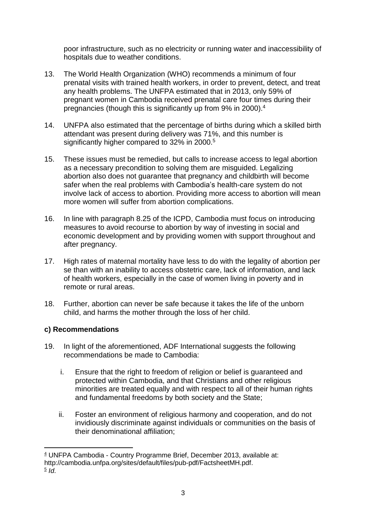poor infrastructure, such as no electricity or running water and inaccessibility of hospitals due to weather conditions.

- 13. The World Health Organization (WHO) recommends a minimum of four prenatal visits with trained health workers, in order to prevent, detect, and treat any health problems. The UNFPA estimated that in 2013, only 59% of pregnant women in Cambodia received prenatal care four times during their pregnancies (though this is significantly up from 9% in 2000).<sup>4</sup>
- 14. UNFPA also estimated that the percentage of births during which a skilled birth attendant was present during delivery was 71%, and this number is significantly higher compared to 32% in 2000.<sup>5</sup>
- 15. These issues must be remedied, but calls to increase access to legal abortion as a necessary precondition to solving them are misguided. Legalizing abortion also does not guarantee that pregnancy and childbirth will become safer when the real problems with Cambodia's health-care system do not involve lack of access to abortion. Providing more access to abortion will mean more women will suffer from abortion complications.
- 16. In line with paragraph 8.25 of the ICPD, Cambodia must focus on introducing measures to avoid recourse to abortion by way of investing in social and economic development and by providing women with support throughout and after pregnancy.
- 17. High rates of maternal mortality have less to do with the legality of abortion per se than with an inability to access obstetric care, lack of information, and lack of health workers, especially in the case of women living in poverty and in remote or rural areas.
- 18. Further, abortion can never be safe because it takes the life of the unborn child, and harms the mother through the loss of her child.

# **c) Recommendations**

- 19. In light of the aforementioned, ADF International suggests the following recommendations be made to Cambodia:
	- i. Ensure that the right to freedom of religion or belief is guaranteed and protected within Cambodia, and that Christians and other religious minorities are treated equally and with respect to all of their human rights and fundamental freedoms by both society and the State;
	- ii. Foster an environment of religious harmony and cooperation, and do not invidiously discriminate against individuals or communities on the basis of their denominational affiliation;

 $\overline{a}$ <sup>4</sup> UNFPA Cambodia - Country Programme Brief, December 2013, available at: http://cambodia.unfpa.org/sites/default/files/pub-pdf/FactsheetMH.pdf.

<sup>5</sup> *Id*.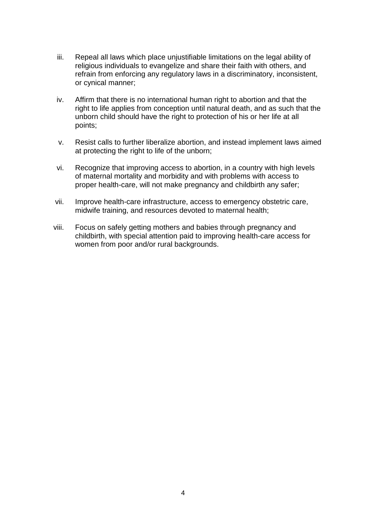- iii. Repeal all laws which place unjustifiable limitations on the legal ability of religious individuals to evangelize and share their faith with others, and refrain from enforcing any regulatory laws in a discriminatory, inconsistent, or cynical manner;
- iv. Affirm that there is no international human right to abortion and that the right to life applies from conception until natural death, and as such that the unborn child should have the right to protection of his or her life at all points;
- v. Resist calls to further liberalize abortion, and instead implement laws aimed at protecting the right to life of the unborn;
- vi. Recognize that improving access to abortion, in a country with high levels of maternal mortality and morbidity and with problems with access to proper health-care, will not make pregnancy and childbirth any safer;
- vii. Improve health-care infrastructure, access to emergency obstetric care, midwife training, and resources devoted to maternal health;
- viii. Focus on safely getting mothers and babies through pregnancy and childbirth, with special attention paid to improving health-care access for women from poor and/or rural backgrounds.